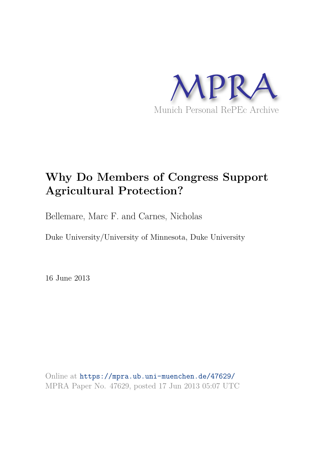

# **Why Do Members of Congress Support Agricultural Protection?**

Bellemare, Marc F. and Carnes, Nicholas

Duke University/University of Minnesota, Duke University

16 June 2013

Online at https://mpra.ub.uni-muenchen.de/47629/ MPRA Paper No. 47629, posted 17 Jun 2013 05:07 UTC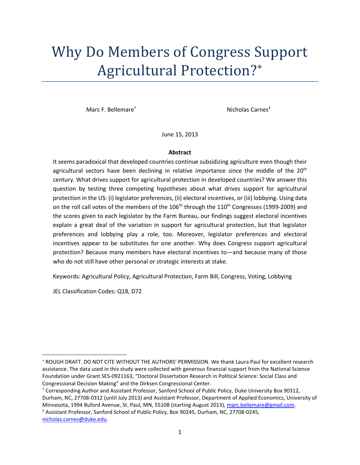# Why Do Members of Congress Support Agricultural Protection?

Marc F. Bellemare<sup>†</sup> Nicholas Carnes<sup>‡</sup>

June 15, 2013

#### **Abstract**

It seems paradoxical that developed countries continue subsidizing agriculture even though their agricultural sectors have been declining in relative importance since the middle of the  $20<sup>th</sup>$ century. What drives support for agricultural protection in developed countries? We answer this question by testing three competing hypotheses about what drives support for agricultural protection in the US: (i) legislator preferences, (ii) electoral incentives, or (iii) lobbying. Using data on the roll call votes of the members of the  $106<sup>th</sup>$  through the  $110<sup>th</sup>$  Congresses (1999-2009) and the scores given to each legislator by the Farm Bureau, our findings suggest electoral incentives explain a great deal of the variation in support for agricultural protection, but that legislator preferences and lobbying play a role, too. Moreover, legislator preferences and electoral incentives appear to be substitutes for one another. Why does Congress support agricultural protection? Because many members have electoral incentives to—and because many of those who do not still have other personal or strategic interests at stake.

Keywords: Agricultural Policy, Agricultural Protection, Farm Bill, Congress, Voting, Lobbying

JEL Classification Codes: Q18, D72

l

‡ Assistant Professor, Sanford School of Public Policy, Box 90245, Durham, NC, 27708-0245, [nicholas.carnes@duke.edu.](mailto:nicholas.carnes@duke.edu) 

ROUGH DRAFT. DO NOT CITE WITHOUT THE AUTHORS' PERMISSION. We thank Laura Paul for excellent research assistance. The data used in this study were collected with generous financial support from the National Science Foundation under Grant SES-0921163, "Doctoral Dissertation Research in Political Science: Social Class and Congressional Decision Making" and the Dirksen Congressional Center.

<sup>†</sup> Corresponding Author and Assistant Professor, Sanford School of Public Policy, Duke University Box 90312, Durham, NC, 27708-0312 (until July 2013) and Assistant Professor, Department of Applied Economics, University of Minnesota, 1994 Buford Avenue, St. Paul, MN, 55108 (starting August 2013), [marc.bellemare@gmail.com.](mailto:marc.bellemare@gmail.com)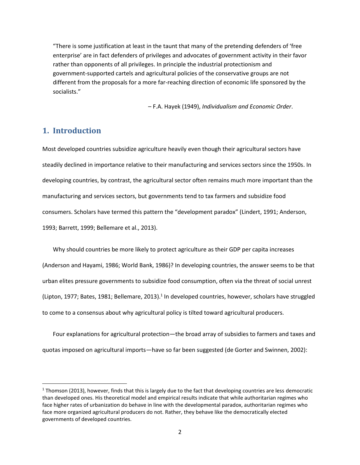"There is some justification at least in the taunt that many of the pretending defenders of 'free enterprise' are in fact defenders of privileges and advocates of government activity in their favor rather than opponents of all privileges. In principle the industrial protectionism and government-supported cartels and agricultural policies of the conservative groups are not different from the proposals for a more far-reaching direction of economic life sponsored by the socialists."

– F.A. Hayek (1949), *Individualism and Economic Order*.

# **1. Introduction**

 $\overline{\phantom{0}}$ 

Most developed countries subsidize agriculture heavily even though their agricultural sectors have steadily declined in importance relative to their manufacturing and services sectors since the 1950s. In developing countries, by contrast, the agricultural sector often remains much more important than the manufacturing and services sectors, but governments tend to tax farmers and subsidize food consumers. Scholars have termed this pattern the "development paradox" (Lindert, 1991; Anderson, 1993; Barrett, 1999; Bellemare et al., 2013).

Why should countries be more likely to protect agriculture as their GDP per capita increases (Anderson and Hayami, 1986; World Bank, 1986)? In developing countries, the answer seems to be that urban elites pressure governments to subsidize food consumption, often via the threat of social unrest (Lipton, 1977; Bates, 1981; Bellemare, 2013).<sup>1</sup> In developed countries, however, scholars have struggled to come to a consensus about why agricultural policy is tilted toward agricultural producers.

Four explanations for agricultural protection—the broad array of subsidies to farmers and taxes and quotas imposed on agricultural imports—have so far been suggested (de Gorter and Swinnen, 2002):

 $1$  Thomson (2013), however, finds that this is largely due to the fact that developing countries are less democratic than developed ones. His theoretical model and empirical results indicate that while authoritarian regimes who face higher rates of urbanization do behave in line with the developmental paradox, authoritarian regimes who face more organized agricultural producers do not. Rather, they behave like the democratically elected governments of developed countries.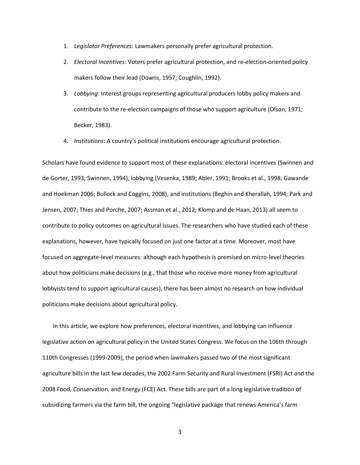- 1. *Legislator Preferences*: Lawmakers personally prefer agricultural protection.
- 2. *Electoral Incentives*: Voters prefer agricultural protection, and re-election-oriented policy makers follow their lead (Downs, 1957; Coughlin, 1992).
- 3. *Lobbying*: Interest groups representing agricultural producers lobby policy makers and contribute to the re-election campaigns of those who support agriculture (Olson, 1971; Becker, 1983).
- 4. *Institutions*: A country's political institutions encourage agricultural protection.

Scholars have found evidence to support most of these explanations: electoral incentives (Swinnen and de Gorter, 1993; Swinnen, 1994), lobbying (Vesenka, 1989; Abler, 1991; Brooks et al., 1998; Gawande and Hoekman 2006; Bullock and Coggins, 2008), and institutions (Beghin and Kherallah, 1994; Park and Jensen, 2007; Thies and Porche, 2007; Assman et al., 2012; Klomp and de Haan, 2013) all seem to contribute to policy outcomes on agricultural issues. The researchers who have studied each of these explanations, however, have typically focused on just one factor at a time. Moreover, most have focused on aggregate-level measures: although each hypothesis is premised on micro-level theories about how politicians make decisions (e.g., that those who receive more money from agricultural lobbyists tend to support agricultural causes), there has been almost no research on how individual politicians make decisions about agricultural policy.

In this article, we explore how preferences, electoral incentives, and lobbying can influence legislative action on agricultural policy in the United States Congress. We focus on the 106th through 110th Congresses (1999-2009), the period when lawmakers passed two of the most significant agriculture bills in the last few decades, the 2002 Farm Security and Rural Investment (FSRI) Act and the 2008 Food, Conservation, and Energy (FCE) Act. These bills are part of a long legislative tradition of subsidizing farmers via the farm bill, the ongoing "legislative package that renews America's farm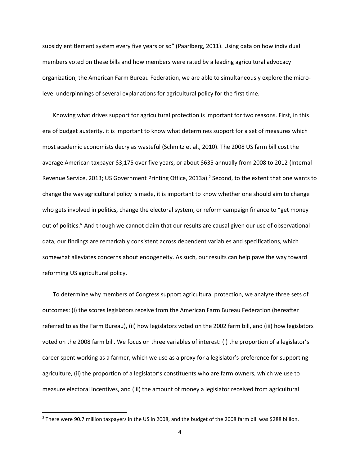subsidy entitlement system every five years or so" (Paarlberg, 2011). Using data on how individual members voted on these bills and how members were rated by a leading agricultural advocacy organization, the American Farm Bureau Federation, we are able to simultaneously explore the microlevel underpinnings of several explanations for agricultural policy for the first time.

Knowing what drives support for agricultural protection is important for two reasons. First, in this era of budget austerity, it is important to know what determines support for a set of measures which most academic economists decry as wasteful (Schmitz et al., 2010). The 2008 US farm bill cost the average American taxpayer \$3,175 over five years, or about \$635 annually from 2008 to 2012 (Internal Revenue Service, 2013; US Government Printing Office, 2013a).<sup>2</sup> Second, to the extent that one wants to change the way agricultural policy is made, it is important to know whether one should aim to change who gets involved in politics, change the electoral system, or reform campaign finance to "get money out of politics." And though we cannot claim that our results are causal given our use of observational data, our findings are remarkably consistent across dependent variables and specifications, which somewhat alleviates concerns about endogeneity. As such, our results can help pave the way toward reforming US agricultural policy.

To determine why members of Congress support agricultural protection, we analyze three sets of outcomes: (i) the scores legislators receive from the American Farm Bureau Federation (hereafter referred to as the Farm Bureau), (ii) how legislators voted on the 2002 farm bill, and (iii) how legislators voted on the 2008 farm bill. We focus on three variables of interest: (i) the proportion of a legislator's career spent working as a farmer, which we use as a proxy for a legislator's preference for supporting agriculture, (ii) the proportion of a legislator's constituents who are farm owners, which we use to measure electoral incentives, and (iii) the amount of money a legislator received from agricultural

 $\overline{\phantom{0}}$ 

<sup>&</sup>lt;sup>2</sup> There were 90.7 million taxpayers in the US in 2008, and the budget of the 2008 farm bill was \$288 billion.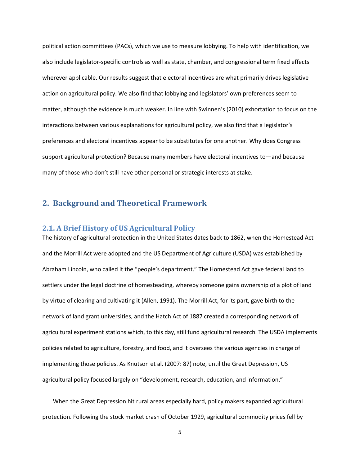political action committees (PACs), which we use to measure lobbying. To help with identification, we also include legislator-specific controls as well as state, chamber, and congressional term fixed effects wherever applicable. Our results suggest that electoral incentives are what primarily drives legislative action on agricultural policy. We also find that lobbying and legislators' own preferences seem to matter, although the evidence is much weaker. In line with Swinnen's (2010) exhortation to focus on the interactions between various explanations for agricultural policy, we also find that a legislator's preferences and electoral incentives appear to be substitutes for one another. Why does Congress support agricultural protection? Because many members have electoral incentives to—and because many of those who don't still have other personal or strategic interests at stake.

# **2. Background and Theoretical Framework**

#### **2.1. A Brief History of US Agricultural Policy**

The history of agricultural protection in the United States dates back to 1862, when the Homestead Act and the Morrill Act were adopted and the US Department of Agriculture (USDA) was established by Abraham Lincoln, who called it the "people's department." The Homestead Act gave federal land to settlers under the legal doctrine of homesteading, whereby someone gains ownership of a plot of land by virtue of clearing and cultivating it (Allen, 1991). The Morrill Act, for its part, gave birth to the network of land grant universities, and the Hatch Act of 1887 created a corresponding network of agricultural experiment stations which, to this day, still fund agricultural research. The USDA implements policies related to agriculture, forestry, and food, and it oversees the various agencies in charge of implementing those policies. As Knutson et al. (2007: 87) note, until the Great Depression, US agricultural policy focused largely on "development, research, education, and information."

When the Great Depression hit rural areas especially hard, policy makers expanded agricultural protection. Following the stock market crash of October 1929, agricultural commodity prices fell by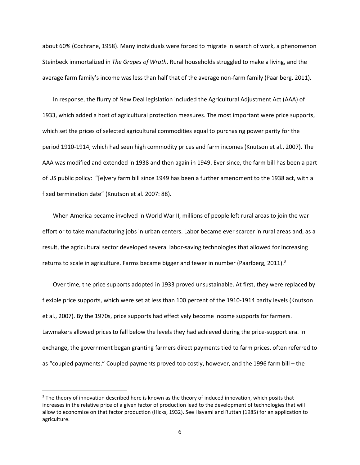about 60% (Cochrane, 1958). Many individuals were forced to migrate in search of work, a phenomenon Steinbeck immortalized in *The Grapes of Wrath*. Rural households struggled to make a living, and the average farm family's income was less than half that of the average non-farm family (Paarlberg, 2011).

In response, the flurry of New Deal legislation included the Agricultural Adjustment Act (AAA) of 1933, which added a host of agricultural protection measures. The most important were price supports, which set the prices of selected agricultural commodities equal to purchasing power parity for the period 1910-1914, which had seen high commodity prices and farm incomes (Knutson et al., 2007). The AAA was modified and extended in 1938 and then again in 1949. Ever since, the farm bill has been a part of US public policy: "[e]very farm bill since 1949 has been a further amendment to the 1938 act, with a fixed termination date" (Knutson et al. 2007: 88).

When America became involved in World War II, millions of people left rural areas to join the war effort or to take manufacturing jobs in urban centers. Labor became ever scarcer in rural areas and, as a result, the agricultural sector developed several labor-saving technologies that allowed for increasing returns to scale in agriculture. Farms became bigger and fewer in number (Paarlberg, 2011).<sup>3</sup>

Over time, the price supports adopted in 1933 proved unsustainable. At first, they were replaced by flexible price supports, which were set at less than 100 percent of the 1910-1914 parity levels (Knutson et al., 2007). By the 1970s, price supports had effectively become income supports for farmers. Lawmakers allowed prices to fall below the levels they had achieved during the price-support era. In exchange, the government began granting farmers direct payments tied to farm prices, often referred to as "coupled payments." Coupled payments proved too costly, however, and the 1996 farm bill – the

l

<sup>&</sup>lt;sup>3</sup> The theory of innovation described here is known as the theory of induced innovation, which posits that increases in the relative price of a given factor of production lead to the development of technologies that will allow to economize on that factor production (Hicks, 1932). See Hayami and Ruttan (1985) for an application to agriculture.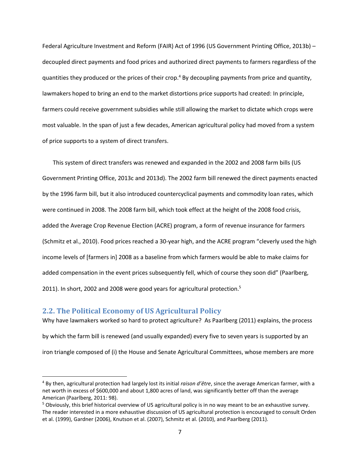Federal Agriculture Investment and Reform (FAIR) Act of 1996 (US Government Printing Office, 2013b) – decoupled direct payments and food prices and authorized direct payments to farmers regardless of the quantities they produced or the prices of their crop.<sup>4</sup> By decoupling payments from price and quantity, lawmakers hoped to bring an end to the market distortions price supports had created: In principle, farmers could receive government subsidies while still allowing the market to dictate which crops were most valuable. In the span of just a few decades, American agricultural policy had moved from a system of price supports to a system of direct transfers.

This system of direct transfers was renewed and expanded in the 2002 and 2008 farm bills (US Government Printing Office, 2013c and 2013d). The 2002 farm bill renewed the direct payments enacted by the 1996 farm bill, but it also introduced countercyclical payments and commodity loan rates, which were continued in 2008. The 2008 farm bill, which took effect at the height of the 2008 food crisis, added the Average Crop Revenue Election (ACRE) program, a form of revenue insurance for farmers (Schmitz et al., 2010). Food prices reached a 30-year high, and the ACRE program "cleverly used the high income levels of [farmers in] 2008 as a baseline from which farmers would be able to make claims for added compensation in the event prices subsequently fell, which of course they soon did" (Paarlberg, 2011). In short, 2002 and 2008 were good years for agricultural protection.<sup>5</sup>

#### **2.2. The Political Economy of US Agricultural Policy**

l

Why have lawmakers worked so hard to protect agriculture? As Paarlberg (2011) explains, the process by which the farm bill is renewed (and usually expanded) every five to seven years is supported by an iron triangle composed of (i) the House and Senate Agricultural Committees, whose members are more

<sup>4</sup> By then, agricultural protection had largely lost its initial *raison d'être*, since the average American farmer, with a net worth in excess of \$600,000 and about 1,800 acres of land, was significantly better off than the average American (Paarlberg, 2011: 98).

<sup>&</sup>lt;sup>5</sup> Obviously, this brief historical overview of US agricultural policy is in no way meant to be an exhaustive survey. The reader interested in a more exhaustive discussion of US agricultural protection is encouraged to consult Orden et al. (1999), Gardner (2006), Knutson et al. (2007), Schmitz et al. (2010), and Paarlberg (2011).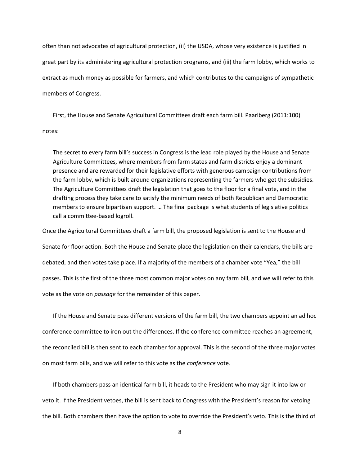often than not advocates of agricultural protection, (ii) the USDA, whose very existence is justified in great part by its administering agricultural protection programs, and (iii) the farm lobby, which works to extract as much money as possible for farmers, and which contributes to the campaigns of sympathetic members of Congress.

First, the House and Senate Agricultural Committees draft each farm bill. Paarlberg (2011:100) notes:

The secret to every farm bill's success in Congress is the lead role played by the House and Senate Agriculture Committees, where members from farm states and farm districts enjoy a dominant presence and are rewarded for their legislative efforts with generous campaign contributions from the farm lobby, which is built around organizations representing the farmers who get the subsidies. The Agriculture Committees draft the legislation that goes to the floor for a final vote, and in the drafting process they take care to satisfy the minimum needs of both Republican and Democratic members to ensure bipartisan support. … The final package is what students of legislative politics call a committee-based logroll.

Once the Agricultural Committees draft a farm bill, the proposed legislation is sent to the House and Senate for floor action. Both the House and Senate place the legislation on their calendars, the bills are debated, and then votes take place. If a majority of the members of a chamber vote "Yea," the bill passes. This is the first of the three most common major votes on any farm bill, and we will refer to this vote as the vote on *passage* for the remainder of this paper.

If the House and Senate pass different versions of the farm bill, the two chambers appoint an ad hoc conference committee to iron out the differences. If the conference committee reaches an agreement, the reconciled bill is then sent to each chamber for approval. This is the second of the three major votes on most farm bills, and we will refer to this vote as the *conference* vote.

If both chambers pass an identical farm bill, it heads to the President who may sign it into law or veto it. If the President vetoes, the bill is sent back to Congress with the President's reason for vetoing the bill. Both chambers then have the option to vote to override the President's veto. This is the third of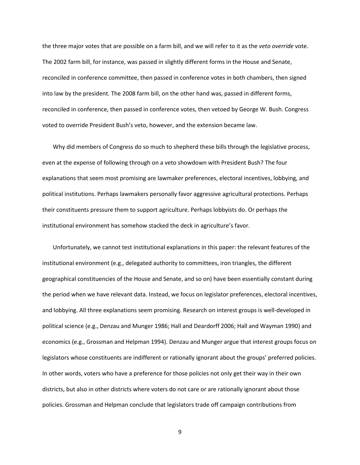the three major votes that are possible on a farm bill, and we will refer to it as the *veto override* vote. The 2002 farm bill, for instance, was passed in slightly different forms in the House and Senate, reconciled in conference committee, then passed in conference votes in both chambers, then signed into law by the president. The 2008 farm bill, on the other hand was, passed in different forms, reconciled in conference, then passed in conference votes, then vetoed by George W. Bush. Congress voted to override President Bush's veto, however, and the extension became law.

Why did members of Congress do so much to shepherd these bills through the legislative process, even at the expense of following through on a veto showdown with President Bush? The four explanations that seem most promising are lawmaker preferences, electoral incentives, lobbying, and political institutions. Perhaps lawmakers personally favor aggressive agricultural protections. Perhaps their constituents pressure them to support agriculture. Perhaps lobbyists do. Or perhaps the institutional environment has somehow stacked the deck in agriculture's favor.

Unfortunately, we cannot test institutional explanations in this paper: the relevant features of the institutional environment (e.g., delegated authority to committees, iron triangles, the different geographical constituencies of the House and Senate, and so on) have been essentially constant during the period when we have relevant data. Instead, we focus on legislator preferences, electoral incentives, and lobbying. All three explanations seem promising. Research on interest groups is well-developed in political science (e.g., Denzau and Munger 1986; Hall and Deardorff 2006; Hall and Wayman 1990) and economics (e.g., Grossman and Helpman 1994). Denzau and Munger argue that interest groups focus on legislators whose constituents are indifferent or rationally ignorant about the groups' preferred policies. In other words, voters who have a preference for those policies not only get their way in their own districts, but also in other districts where voters do not care or are rationally ignorant about those policies. Grossman and Helpman conclude that legislators trade off campaign contributions from

9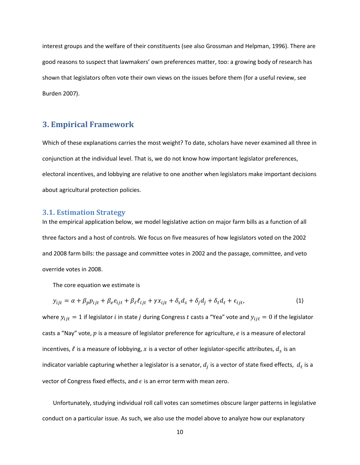interest groups and the welfare of their constituents (see also Grossman and Helpman, 1996). There are good reasons to suspect that lawmakers' own preferences matter, too: a growing body of research has shown that legislators often vote their own views on the issues before them (for a useful review, see Burden 2007).

### **3. Empirical Framework**

Which of these explanations carries the most weight? To date, scholars have never examined all three in conjunction at the individual level. That is, we do not know how important legislator preferences, electoral incentives, and lobbying are relative to one another when legislators make important decisions about agricultural protection policies.

#### **3.1. Estimation Strategy**

In the empirical application below, we model legislative action on major farm bills as a function of all three factors and a host of controls. We focus on five measures of how legislators voted on the 2002 and 2008 farm bills: the passage and committee votes in 2002 and the passage, committee, and veto override votes in 2008.

The core equation we estimate is

$$
y_{ijt} = \alpha + \beta_p p_{ijt} + \beta_e e_{ijt} + \beta_\ell e_{ijt} + \gamma x_{ijt} + \delta_s d_s + \delta_j d_j + \delta_t d_t + \epsilon_{ijt},
$$
\n(1)

where  $y_{ijt} = 1$  if legislator *i* in state *j* during Congress *t* casts a "Yea" vote and  $y_{ijt} = 0$  if the legislator casts a "Nay" vote,  $p$  is a measure of legislator preference for agriculture,  $e$  is a measure of electoral incentives,  $\ell$  is a measure of lobbying,  $x$  is a vector of other legislator-specific attributes,  $d_s$  is an indicator variable capturing whether a legislator is a senator,  $d_j$  is a vector of state fixed effects,  $d_t$  is a vector of Congress fixed effects, and  $\epsilon$  is an error term with mean zero.

Unfortunately, studying individual roll call votes can sometimes obscure larger patterns in legislative conduct on a particular issue. As such, we also use the model above to analyze how our explanatory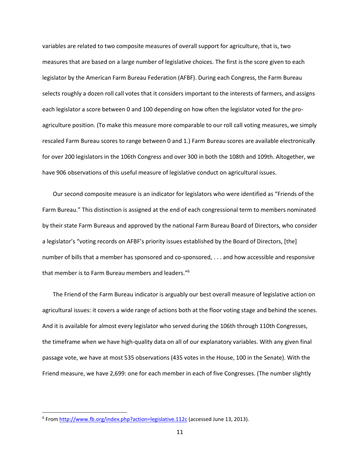variables are related to two composite measures of overall support for agriculture, that is, two measures that are based on a large number of legislative choices. The first is the score given to each legislator by the American Farm Bureau Federation (AFBF). During each Congress, the Farm Bureau selects roughly a dozen roll call votes that it considers important to the interests of farmers, and assigns each legislator a score between 0 and 100 depending on how often the legislator voted for the proagriculture position. (To make this measure more comparable to our roll call voting measures, we simply rescaled Farm Bureau scores to range between 0 and 1.) Farm Bureau scores are available electronically for over 200 legislators in the 106th Congress and over 300 in both the 108th and 109th. Altogether, we have 906 observations of this useful measure of legislative conduct on agricultural issues.

Our second composite measure is an indicator for legislators who were identified as "Friends of the Farm Bureau." This distinction is assigned at the end of each congressional term to members nominated by their state Farm Bureaus and approved by the national Farm Bureau Board of Directors, who consider a legislator's "voting records on AFBF's priority issues established by the Board of Directors, [the] number of bills that a member has sponsored and co-sponsored, . . . and how accessible and responsive that member is to Farm Bureau members and leaders." 6

The Friend of the Farm Bureau indicator is arguably our best overall measure of legislative action on agricultural issues: it covers a wide range of actions both at the floor voting stage and behind the scenes. And it is available for almost every legislator who served during the 106th through 110th Congresses, the timeframe when we have high-quality data on all of our explanatory variables. With any given final passage vote, we have at most 535 observations (435 votes in the House, 100 in the Senate). With the Friend measure, we have 2,699: one for each member in each of five Congresses. (The number slightly

 $\overline{\phantom{0}}$ 

<sup>&</sup>lt;sup>6</sup> From [http://www.fb.org/index.php?action=legislative.112c \(](http://www.fb.org/index.php?action=legislative.112c)accessed June 13, 2013).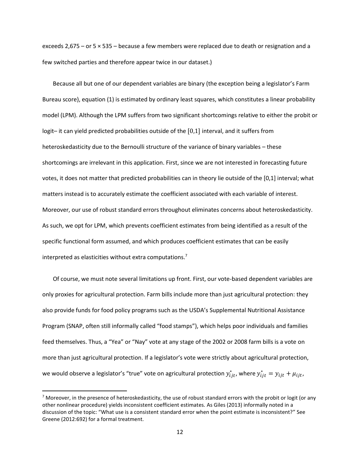exceeds 2,675 – or 5 × 535 – because a few members were replaced due to death or resignation and a few switched parties and therefore appear twice in our dataset.)

Because all but one of our dependent variables are binary (the exception being a legislator's Farm Bureau score), equation (1) is estimated by ordinary least squares, which constitutes a linear probability model (LPM). Although the LPM suffers from two significant shortcomings relative to either the probit or logit– it can yield predicted probabilities outside of the  $[0,1]$  interval, and it suffers from heteroskedasticity due to the Bernoulli structure of the variance of binary variables – these shortcomings are irrelevant in this application. First, since we are not interested in forecasting future votes, it does not matter that predicted probabilities can in theory lie outside of the [0,1] interval; what matters instead is to accurately estimate the coefficient associated with each variable of interest. Moreover, our use of robust standard errors throughout eliminates concerns about heteroskedasticity. As such, we opt for LPM, which prevents coefficient estimates from being identified as a result of the specific functional form assumed, and which produces coefficient estimates that can be easily interpreted as elasticities without extra computations.<sup>7</sup>

Of course, we must note several limitations up front. First, our vote-based dependent variables are only proxies for agricultural protection. Farm bills include more than just agricultural protection: they also provide funds for food policy programs such as the USDA's Supplemental Nutritional Assistance Program (SNAP, often still informally called "food stamps"), which helps poor individuals and families feed themselves. Thus, a "Yea" or "Nay" vote at any stage of the 2002 or 2008 farm bills is a vote on more than just agricultural protection. If a legislator's vote were strictly about agricultural protection, we would observe a legislator's "true" vote on agricultural protection  $y^*_{ijt}$ , where  $y^*_{ijt} = y_{ijt} + \mu_{ijt}$ ,

l

<sup>&</sup>lt;sup>7</sup> Moreover, in the presence of heteroskedasticity, the use of robust standard errors with the probit or logit (or any other nonlinear procedure) yields inconsistent coefficient estimates. As Giles (2013) informally noted in a discussion of the topic: "What use is a consistent standard error when the point estimate is inconsistent?" See Greene (2012:692) for a formal treatment.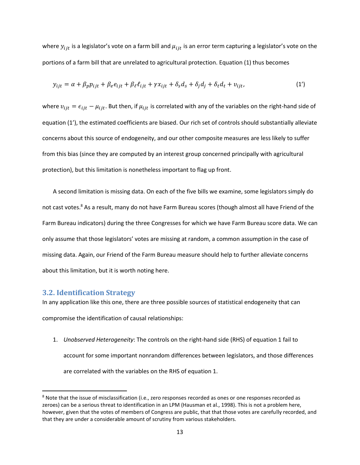where  $y_{ijt}$  is a legislator's vote on a farm bill and  $\mu_{ijt}$  is an error term capturing a legislator's vote on the portions of a farm bill that are unrelated to agricultural protection. Equation (1) thus becomes

$$
y_{ijt} = \alpha + \beta_p p_{ijt} + \beta_e e_{ijt} + \beta_\ell e_{ijt} + \gamma x_{ijt} + \delta_s d_s + \delta_j d_j + \delta_t d_t + v_{ijt},
$$
\n(1')

where  $v_{ijt} = \epsilon_{ijt} - \mu_{ijt}$ . But then, if  $\mu_{ijt}$  is correlated with any of the variables on the right-hand side of equation (1'), the estimated coefficients are biased. Our rich set of controls should substantially alleviate concerns about this source of endogeneity, and our other composite measures are less likely to suffer from this bias (since they are computed by an interest group concerned principally with agricultural protection), but this limitation is nonetheless important to flag up front.

A second limitation is missing data. On each of the five bills we examine, some legislators simply do not cast votes.<sup>8</sup> As a result, many do not have Farm Bureau scores (though almost all have Friend of the Farm Bureau indicators) during the three Congresses for which we have Farm Bureau score data. We can only assume that those legislators' votes are missing at random, a common assumption in the case of missing data. Again, our Friend of the Farm Bureau measure should help to further alleviate concerns about this limitation, but it is worth noting here.

#### **3.2. Identification Strategy**

l

In any application like this one, there are three possible sources of statistical endogeneity that can compromise the identification of causal relationships:

1. *Unobserved Heterogeneity*: The controls on the right-hand side (RHS) of equation 1 fail to account for some important nonrandom differences between legislators, and those differences are correlated with the variables on the RHS of equation 1.

<sup>&</sup>lt;sup>8</sup> Note that the issue of misclassification (i.e., zero responses recorded as ones or one responses recorded as zeroes) can be a serious threat to identification in an LPM (Hausman et al., 1998). This is not a problem here, however, given that the votes of members of Congress are public, that that those votes are carefully recorded, and that they are under a considerable amount of scrutiny from various stakeholders.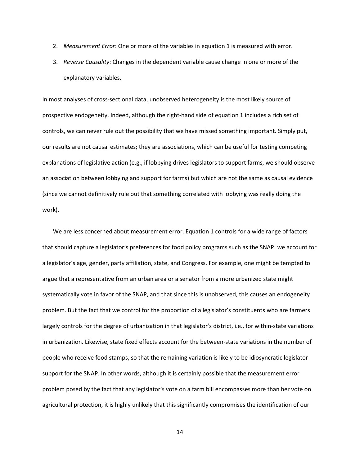- 2. *Measurement Error*: One or more of the variables in equation 1 is measured with error.
- 3. *Reverse Causality*: Changes in the dependent variable cause change in one or more of the explanatory variables.

In most analyses of cross-sectional data, unobserved heterogeneity is the most likely source of prospective endogeneity. Indeed, although the right-hand side of equation 1 includes a rich set of controls, we can never rule out the possibility that we have missed something important. Simply put, our results are not causal estimates; they are associations, which can be useful for testing competing explanations of legislative action (e.g., if lobbying drives legislators to support farms, we should observe an association between lobbying and support for farms) but which are not the same as causal evidence (since we cannot definitively rule out that something correlated with lobbying was really doing the work).

We are less concerned about measurement error. Equation 1 controls for a wide range of factors that should capture a legislator's preferences for food policy programs such as the SNAP: we account for a legislator's age, gender, party affiliation, state, and Congress. For example, one might be tempted to argue that a representative from an urban area or a senator from a more urbanized state might systematically vote in favor of the SNAP, and that since this is unobserved, this causes an endogeneity problem. But the fact that we control for the proportion of a legislator's constituents who are farmers largely controls for the degree of urbanization in that legislator's district, i.e., for within-state variations in urbanization. Likewise, state fixed effects account for the between-state variations in the number of people who receive food stamps, so that the remaining variation is likely to be idiosyncratic legislator support for the SNAP. In other words, although it is certainly possible that the measurement error problem posed by the fact that any legislator's vote on a farm bill encompasses more than her vote on agricultural protection, it is highly unlikely that this significantly compromises the identification of our

14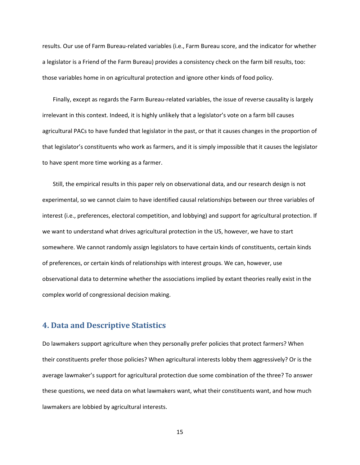results. Our use of Farm Bureau-related variables (i.e., Farm Bureau score, and the indicator for whether a legislator is a Friend of the Farm Bureau) provides a consistency check on the farm bill results, too: those variables home in on agricultural protection and ignore other kinds of food policy.

Finally, except as regards the Farm Bureau-related variables, the issue of reverse causality is largely irrelevant in this context. Indeed, it is highly unlikely that a legislator's vote on a farm bill causes agricultural PACs to have funded that legislator in the past, or that it causes changes in the proportion of that legislator's constituents who work as farmers, and it is simply impossible that it causes the legislator to have spent more time working as a farmer.

Still, the empirical results in this paper rely on observational data, and our research design is not experimental, so we cannot claim to have identified causal relationships between our three variables of interest (i.e., preferences, electoral competition, and lobbying) and support for agricultural protection. If we want to understand what drives agricultural protection in the US, however, we have to start somewhere. We cannot randomly assign legislators to have certain kinds of constituents, certain kinds of preferences, or certain kinds of relationships with interest groups. We can, however, use observational data to determine whether the associations implied by extant theories really exist in the complex world of congressional decision making.

### **4. Data and Descriptive Statistics**

Do lawmakers support agriculture when they personally prefer policies that protect farmers? When their constituents prefer those policies? When agricultural interests lobby them aggressively? Or is the average lawmaker's support for agricultural protection due some combination of the three? To answer these questions, we need data on what lawmakers want, what their constituents want, and how much lawmakers are lobbied by agricultural interests.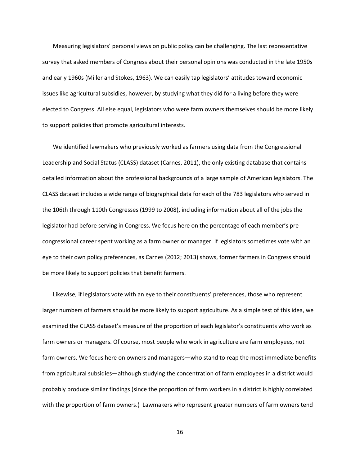Measuring legislators' personal views on public policy can be challenging. The last representative survey that asked members of Congress about their personal opinions was conducted in the late 1950s and early 1960s (Miller and Stokes, 1963). We can easily tap legislators' attitudes toward economic issues like agricultural subsidies, however, by studying what they did for a living before they were elected to Congress. All else equal, legislators who were farm owners themselves should be more likely to support policies that promote agricultural interests.

We identified lawmakers who previously worked as farmers using data from the Congressional Leadership and Social Status (CLASS) dataset (Carnes, 2011), the only existing database that contains detailed information about the professional backgrounds of a large sample of American legislators. The CLASS dataset includes a wide range of biographical data for each of the 783 legislators who served in the 106th through 110th Congresses (1999 to 2008), including information about all of the jobs the legislator had before serving in Congress. We focus here on the percentage of each member's precongressional career spent working as a farm owner or manager. If legislators sometimes vote with an eye to their own policy preferences, as Carnes (2012; 2013) shows, former farmers in Congress should be more likely to support policies that benefit farmers.

Likewise, if legislators vote with an eye to their constituents' preferences, those who represent larger numbers of farmers should be more likely to support agriculture. As a simple test of this idea, we examined the CLASS dataset's measure of the proportion of each legislator's constituents who work as farm owners or managers. Of course, most people who work in agriculture are farm employees, not farm owners. We focus here on owners and managers—who stand to reap the most immediate benefits from agricultural subsidies—although studying the concentration of farm employees in a district would probably produce similar findings (since the proportion of farm workers in a district is highly correlated with the proportion of farm owners.) Lawmakers who represent greater numbers of farm owners tend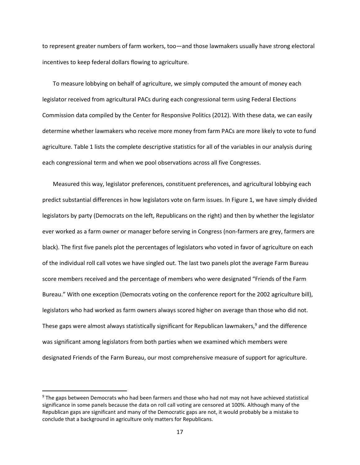to represent greater numbers of farm workers, too—and those lawmakers usually have strong electoral incentives to keep federal dollars flowing to agriculture.

To measure lobbying on behalf of agriculture, we simply computed the amount of money each legislator received from agricultural PACs during each congressional term using Federal Elections Commission data compiled by the Center for Responsive Politics (2012). With these data, we can easily determine whether lawmakers who receive more money from farm PACs are more likely to vote to fund agriculture. Table 1 lists the complete descriptive statistics for all of the variables in our analysis during each congressional term and when we pool observations across all five Congresses.

Measured this way, legislator preferences, constituent preferences, and agricultural lobbying each predict substantial differences in how legislators vote on farm issues. In Figure 1, we have simply divided legislators by party (Democrats on the left, Republicans on the right) and then by whether the legislator ever worked as a farm owner or manager before serving in Congress (non-farmers are grey, farmers are black). The first five panels plot the percentages of legislators who voted in favor of agriculture on each of the individual roll call votes we have singled out. The last two panels plot the average Farm Bureau score members received and the percentage of members who were designated "Friends of the Farm Bureau." With one exception (Democrats voting on the conference report for the 2002 agriculture bill), legislators who had worked as farm owners always scored higher on average than those who did not. These gaps were almost always statistically significant for Republican lawmakers,<sup>9</sup> and the difference was significant among legislators from both parties when we examined which members were designated Friends of the Farm Bureau, our most comprehensive measure of support for agriculture.

l

<sup>&</sup>lt;sup>9</sup> The gaps between Democrats who had been farmers and those who had not may not have achieved statistical significance in some panels because the data on roll call voting are censored at 100%. Although many of the Republican gaps are significant and many of the Democratic gaps are not, it would probably be a mistake to conclude that a background in agriculture only matters for Republicans.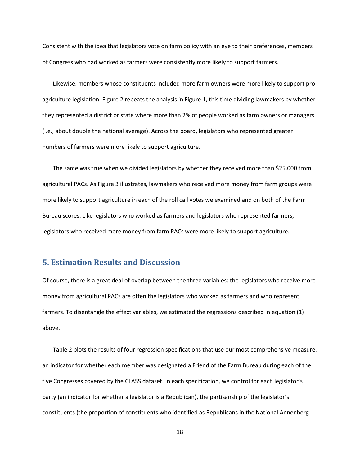Consistent with the idea that legislators vote on farm policy with an eye to their preferences, members of Congress who had worked as farmers were consistently more likely to support farmers.

Likewise, members whose constituents included more farm owners were more likely to support proagriculture legislation. Figure 2 repeats the analysis in Figure 1, this time dividing lawmakers by whether they represented a district or state where more than 2% of people worked as farm owners or managers (i.e., about double the national average). Across the board, legislators who represented greater numbers of farmers were more likely to support agriculture.

The same was true when we divided legislators by whether they received more than \$25,000 from agricultural PACs. As Figure 3 illustrates, lawmakers who received more money from farm groups were more likely to support agriculture in each of the roll call votes we examined and on both of the Farm Bureau scores. Like legislators who worked as farmers and legislators who represented farmers, legislators who received more money from farm PACs were more likely to support agriculture.

# **5. Estimation Results and Discussion**

Of course, there is a great deal of overlap between the three variables: the legislators who receive more money from agricultural PACs are often the legislators who worked as farmers and who represent farmers. To disentangle the effect variables, we estimated the regressions described in equation (1) above.

Table 2 plots the results of four regression specifications that use our most comprehensive measure, an indicator for whether each member was designated a Friend of the Farm Bureau during each of the five Congresses covered by the CLASS dataset. In each specification, we control for each legislator's party (an indicator for whether a legislator is a Republican), the partisanship of the legislator's constituents (the proportion of constituents who identified as Republicans in the National Annenberg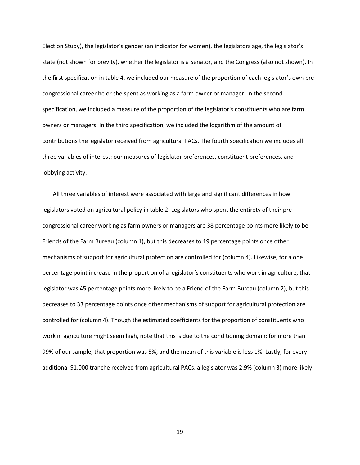Election Study), the legislator's gender (an indicator for women), the legislators age, the legislator's state (not shown for brevity), whether the legislator is a Senator, and the Congress (also not shown). In the first specification in table 4, we included our measure of the proportion of each legislator's own precongressional career he or she spent as working as a farm owner or manager. In the second specification, we included a measure of the proportion of the legislator's constituents who are farm owners or managers. In the third specification, we included the logarithm of the amount of contributions the legislator received from agricultural PACs. The fourth specification we includes all three variables of interest: our measures of legislator preferences, constituent preferences, and lobbying activity.

All three variables of interest were associated with large and significant differences in how legislators voted on agricultural policy in table 2. Legislators who spent the entirety of their precongressional career working as farm owners or managers are 38 percentage points more likely to be Friends of the Farm Bureau (column 1), but this decreases to 19 percentage points once other mechanisms of support for agricultural protection are controlled for (column 4). Likewise, for a one percentage point increase in the proportion of a legislator's constituents who work in agriculture, that legislator was 45 percentage points more likely to be a Friend of the Farm Bureau (column 2), but this decreases to 33 percentage points once other mechanisms of support for agricultural protection are controlled for (column 4). Though the estimated coefficients for the proportion of constituents who work in agriculture might seem high, note that this is due to the conditioning domain: for more than 99% of our sample, that proportion was 5%, and the mean of this variable is less 1%. Lastly, for every additional \$1,000 tranche received from agricultural PACs, a legislator was 2.9% (column 3) more likely

19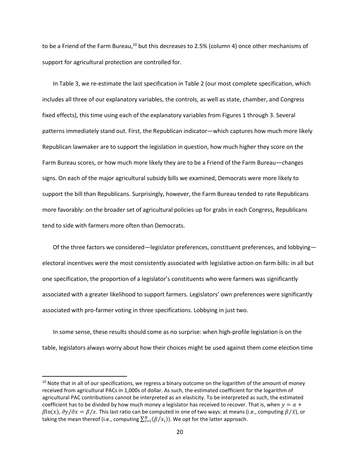to be a Friend of the Farm Bureau,<sup>10</sup> but this decreases to 2.5% (column 4) once other mechanisms of support for agricultural protection are controlled for.

In Table 3, we re-estimate the last specification in Table 2 (our most complete specification, which includes all three of our explanatory variables, the controls, as well as state, chamber, and Congress fixed effects), this time using each of the explanatory variables from Figures 1 through 3. Several patterns immediately stand out. First, the Republican indicator—which captures how much more likely Republican lawmaker are to support the legislation in question, how much higher they score on the Farm Bureau scores, or how much more likely they are to be a Friend of the Farm Bureau—changes signs. On each of the major agricultural subsidy bills we examined, Democrats were more likely to support the bill than Republicans. Surprisingly, however, the Farm Bureau tended to rate Republicans more favorably: on the broader set of agricultural policies up for grabs in each Congress, Republicans tend to side with farmers more often than Democrats.

Of the three factors we considered—legislator preferences, constituent preferences, and lobbying electoral incentives were the most consistently associated with legislative action on farm bills: in all but one specification, the proportion of a legislator's constituents who were farmers was significantly associated with a greater likelihood to support farmers. Legislators' own preferences were significantly associated with pro-farmer voting in three specifications. Lobbying in just two.

In some sense, these results should come as no surprise: when high-profile legislation is on the table, legislators always worry about how their choices might be used against them come election time

 $\overline{a}$ 

<sup>&</sup>lt;sup>10</sup> Note that in all of our specifications, we regress a binary outcome on the logarithm of the amount of money received from agricultural PACs in 1,000s of dollar. As such, the estimated coefficient for the logarithm of agricultural PAC contributions cannot be interpreted as an elasticity. To be interpreted as such, the estimated coefficient has to be divided by how much money a legislator has received to recover. That is, when  $y = \alpha +$  $\beta$ ln(x),  $\partial y/\partial x = \beta/x$ . This last ratio can be computed in one of two ways: at means (i.e., computing  $\beta/\bar{x}$ ), or taking the mean thereof (i.e., computing  $\sum_{i=1}^{N}(\beta/x_i)$ ). We opt for the latter approach.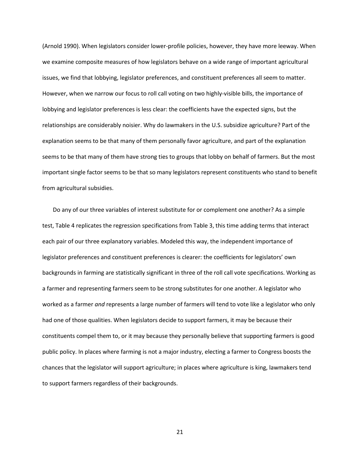(Arnold 1990). When legislators consider lower-profile policies, however, they have more leeway. When we examine composite measures of how legislators behave on a wide range of important agricultural issues, we find that lobbying, legislator preferences, and constituent preferences all seem to matter. However, when we narrow our focus to roll call voting on two highly-visible bills, the importance of lobbying and legislator preferences is less clear: the coefficients have the expected signs, but the relationships are considerably noisier. Why do lawmakers in the U.S. subsidize agriculture? Part of the explanation seems to be that many of them personally favor agriculture, and part of the explanation seems to be that many of them have strong ties to groups that lobby on behalf of farmers. But the most important single factor seems to be that so many legislators represent constituents who stand to benefit from agricultural subsidies.

Do any of our three variables of interest substitute for or complement one another? As a simple test, Table 4 replicates the regression specifications from Table 3, this time adding terms that interact each pair of our three explanatory variables. Modeled this way, the independent importance of legislator preferences and constituent preferences is clearer: the coefficients for legislators' own backgrounds in farming are statistically significant in three of the roll call vote specifications. Working as a farmer and representing farmers seem to be strong substitutes for one another. A legislator who worked as a farmer *and* represents a large number of farmers will tend to vote like a legislator who only had one of those qualities. When legislators decide to support farmers, it may be because their constituents compel them to, or it may because they personally believe that supporting farmers is good public policy. In places where farming is not a major industry, electing a farmer to Congress boosts the chances that the legislator will support agriculture; in places where agriculture is king, lawmakers tend to support farmers regardless of their backgrounds.

21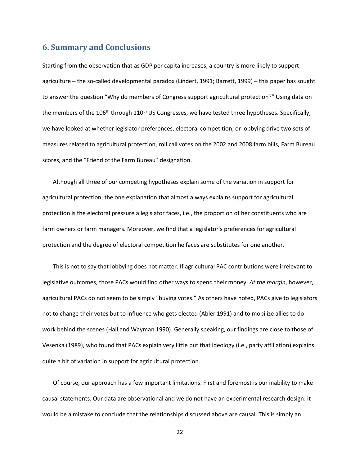#### **6. Summary and Conclusions**

Starting from the observation that as GDP per capita increases, a country is more likely to support agriculture – the so-called developmental paradox (Lindert, 1991; Barrett, 1999) – this paper has sought to answer the question "Why do members of Congress support agricultural protection?" Using data on the members of the 106<sup>th</sup> through 110<sup>th</sup> US Congresses, we have tested three hypotheses. Specifically, we have looked at whether legislator preferences, electoral competition, or lobbying drive two sets of measures related to agricultural protection, roll call votes on the 2002 and 2008 farm bills, Farm Bureau scores, and the "Friend of the Farm Bureau" designation.

Although all three of our competing hypotheses explain some of the variation in support for agricultural protection, the one explanation that almost always explains support for agricultural protection is the electoral pressure a legislator faces, i.e., the proportion of her constituents who are farm owners or farm managers. Moreover, we find that a legislator's preferences for agricultural protection and the degree of electoral competition he faces are substitutes for one another.

This is not to say that lobbying does not matter. If agricultural PAC contributions were irrelevant to legislative outcomes, those PACs would find other ways to spend their money. *At the margin*, however, agricultural PACs do not seem to be simply "buying votes." As others have noted, PACs give to legislators not to change their votes but to influence who gets elected (Abler 1991) and to mobilize allies to do work behind the scenes (Hall and Wayman 1990). Generally speaking, our findings are close to those of Vesenka (1989), who found that PACs explain very little but that ideology (i.e., party affiliation) explains quite a bit of variation in support for agricultural protection.

Of course, our approach has a few important limitations. First and foremost is our inability to make causal statements. Our data are observational and we do not have an experimental research design: it would be a mistake to conclude that the relationships discussed above are causal. This is simply an

22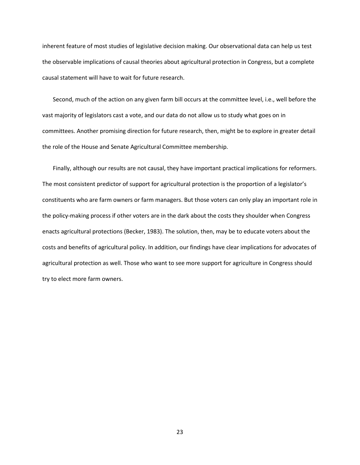inherent feature of most studies of legislative decision making. Our observational data can help us test the observable implications of causal theories about agricultural protection in Congress, but a complete causal statement will have to wait for future research.

Second, much of the action on any given farm bill occurs at the committee level, i.e., well before the vast majority of legislators cast a vote, and our data do not allow us to study what goes on in committees. Another promising direction for future research, then, might be to explore in greater detail the role of the House and Senate Agricultural Committee membership.

Finally, although our results are not causal, they have important practical implications for reformers. The most consistent predictor of support for agricultural protection is the proportion of a legislator's constituents who are farm owners or farm managers. But those voters can only play an important role in the policy-making process if other voters are in the dark about the costs they shoulder when Congress enacts agricultural protections (Becker, 1983). The solution, then, may be to educate voters about the costs and benefits of agricultural policy. In addition, our findings have clear implications for advocates of agricultural protection as well. Those who want to see more support for agriculture in Congress should try to elect more farm owners.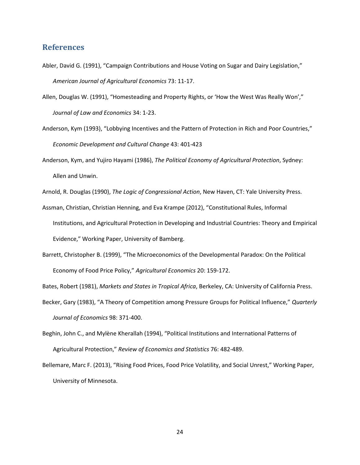# **References**

- Abler, David G. (1991), "Campaign Contributions and House Voting on Sugar and Dairy Legislation," *American Journal of Agricultural Economics* 73: 11-17.
- Allen, Douglas W. (1991), "Homesteading and Property Rights, or 'How the West Was Really Won'," *Journal of Law and Economics* 34: 1-23.
- Anderson, Kym (1993), "Lobbying Incentives and the Pattern of Protection in Rich and Poor Countries," *Economic Development and Cultural Change* 43: 401-423
- Anderson, Kym, and Yujiro Hayami (1986), *The Political Economy of Agricultural Protection*, Sydney: Allen and Unwin.
- Arnold, R. Douglas (1990), *The Logic of Congressional Action*, New Haven, CT: Yale University Press.
- Assman, Christian, Christian Henning, and Eva Krampe (2012), "Constitutional Rules, Informal Institutions, and Agricultural Protection in Developing and Industrial Countries: Theory and Empirical Evidence," Working Paper, University of Bamberg.
- Barrett, Christopher B. (1999), "The Microeconomics of the Developmental Paradox: On the Political Economy of Food Price Policy," *Agricultural Economics* 20: 159-172.

Bates, Robert (1981), *Markets and States in Tropical Africa*, Berkeley, CA: University of California Press.

- Becker, Gary (1983), "A Theory of Competition among Pressure Groups for Political Influence," *Quarterly Journal of Economics* 98: 371-400.
- Beghin, John C., and Mylène Kherallah (1994), "Political Institutions and International Patterns of Agricultural Protection," *Review of Economics and Statistics* 76: 482-489.
- Bellemare, Marc F. (2013), "Rising Food Prices, Food Price Volatility, and Social Unrest," Working Paper, University of Minnesota.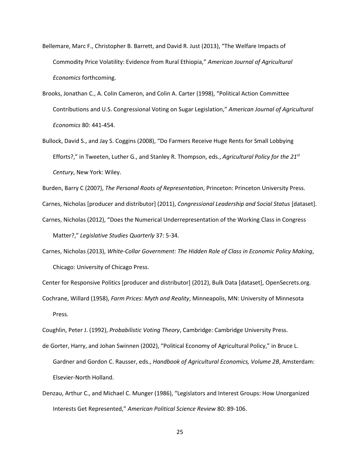- Bellemare, Marc F., Christopher B. Barrett, and David R. Just (2013), "The Welfare Impacts of Commodity Price Volatility: Evidence from Rural Ethiopia," *American Journal of Agricultural Economics* forthcoming.
- Brooks, Jonathan C., A. Colin Cameron, and Colin A. Carter (1998), "Political Action Committee Contributions and U.S. Congressional Voting on Sugar Legislation," *American Journal of Agricultural Economics* 80: 441-454.
- Bullock, David S., and Jay S. Coggins (2008), "Do Farmers Receive Huge Rents for Small Lobbying Efforts?," in Tweeten, Luther G., and Stanley R. Thompson, eds., *Agricultural Policy for the 21st Century*, New York: Wiley.

Burden, Barry C (2007), *The Personal Roots of Representation*, Princeton: Princeton University Press.

Carnes, Nicholas [producer and distributor] (2011), *Congressional Leadership and Social Status* [dataset].

- Carnes, Nicholas (2012), "Does the Numerical Underrepresentation of the Working Class in Congress Matter?," *Legislative Studies Quarterly* 37: 5-34.
- Carnes, Nicholas (2013), *White-Collar Government: The Hidden Role of Class in Economic Policy Making*, Chicago: University of Chicago Press.

Center for Responsive Politics [producer and distributor] (2012), Bulk Data [dataset], OpenSecrets.org.

Cochrane, Willard (1958), *Farm Prices: Myth and Reality*, Minneapolis, MN: University of Minnesota Press.

Coughlin, Peter J. (1992), *Probabilistic Voting Theory*, Cambridge: Cambridge University Press.

de Gorter, Harry, and Johan Swinnen (2002), "Political Economy of Agricultural Policy," in Bruce L. Gardner and Gordon C. Rausser, eds., *Handbook of Agricultural Economics, Volume 2B*, Amsterdam: Elsevier-North Holland.

Denzau, Arthur C., and Michael C. Munger (1986), "Legislators and Interest Groups: How Unorganized Interests Get Represented," *American Political Science Review* 80: 89-106.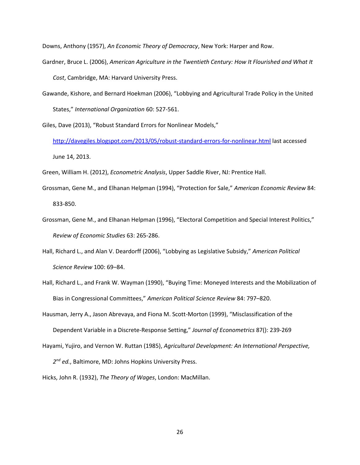Downs, Anthony (1957), *An Economic Theory of Democracy*, New York: Harper and Row.

- Gardner, Bruce L. (2006), *American Agriculture in the Twentieth Century: How It Flourished and What It Cost*, Cambridge, MA: Harvard University Press.
- Gawande, Kishore, and Bernard Hoekman (2006), "Lobbying and Agricultural Trade Policy in the United States," *International Organization* 60: 527-561.

Giles, Dave (2013), "Robust Standard Errors for Nonlinear Models,"

<http://davegiles.blogspot.com/2013/05/robust-standard-errors-for-nonlinear.html>last accessed June 14, 2013.

Green, William H. (2012), *Econometric Analysis*, Upper Saddle River, NJ: Prentice Hall.

- Grossman, Gene M., and Elhanan Helpman (1994), "Protection for Sale," *American Economic Review* 84: 833-850.
- Grossman, Gene M., and Elhanan Helpman (1996), "Electoral Competition and Special Interest Politics," *Review of Economic Studies* 63: 265-286.
- Hall, Richard L., and Alan V. Deardorff (2006), "Lobbying as Legislative Subsidy," *American Political Science Review* 100: 69–84.
- Hall, Richard L., and Frank W. Wayman (1990), "Buying Time: Moneyed Interests and the Mobilization of Bias in Congressional Committees," *American Political Science Review* 84: 797–820.
- Hausman, Jerry A., Jason Abrevaya, and Fiona M. Scott-Morton (1999), "Misclassification of the Dependent Variable in a Discrete-Response Setting," *Journal of Econometrics* 87(): 239-269
- Hayami, Yujiro, and Vernon W. Ruttan (1985), *Agricultural Development: An International Perspective,*

*2 nd ed.*, Baltimore, MD: Johns Hopkins University Press.

Hicks, John R. (1932), *The Theory of Wages*, London: MacMillan.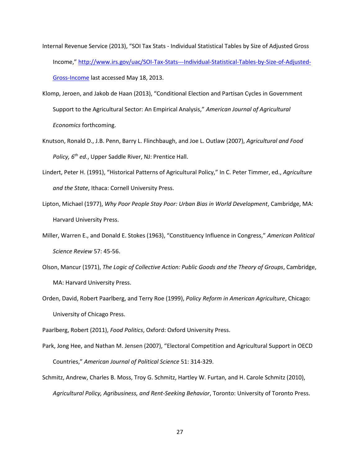- Internal Revenue Service (2013), "SOI Tax Stats Individual Statistical Tables by Size of Adjusted Gross Income," [http://www.irs.gov/uac/SOI-Tax-Stats---Individual-Statistical-Tables-by-Size-of-Adjusted-](http://www.irs.gov/uac/SOI-Tax-Stats---Individual-Statistical-Tables-by-Size-of-Adjusted-Gross-Income)[Gross-Income](http://www.irs.gov/uac/SOI-Tax-Stats---Individual-Statistical-Tables-by-Size-of-Adjusted-Gross-Income) last accessed May 18, 2013.
- Klomp, Jeroen, and Jakob de Haan (2013), "Conditional Election and Partisan Cycles in Government Support to the Agricultural Sector: An Empirical Analysis," *American Journal of Agricultural Economics* forthcoming.
- Knutson, Ronald D., J.B. Penn, Barry L. Flinchbaugh, and Joe L. Outlaw (2007), *Agricultural and Food Policy, 6th ed.*, Upper Saddle River, NJ: Prentice Hall.
- Lindert, Peter H. (1991), "Historical Patterns of Agricultural Policy," In C. Peter Timmer, ed., *Agriculture and the State*, Ithaca: Cornell University Press.
- Lipton, Michael (1977), *Why Poor People Stay Poor: Urban Bias in World Development*, Cambridge, MA: Harvard University Press.
- Miller, Warren E., and Donald E. Stokes (1963), "Constituency Influence in Congress," *American Political Science Review* 57: 45-56.
- Olson, Mancur (1971), *The Logic of Collective Action: Public Goods and the Theory of Groups*, Cambridge, MA: Harvard University Press.
- Orden, David, Robert Paarlberg, and Terry Roe (1999), *Policy Reform in American Agriculture*, Chicago: University of Chicago Press.
- Paarlberg, Robert (2011), *Food Politics*, Oxford: Oxford University Press.
- Park, Jong Hee, and Nathan M. Jensen (2007), "Electoral Competition and Agricultural Support in OECD Countries," *American Journal of Political Science* 51: 314-329.
- Schmitz, Andrew, Charles B. Moss, Troy G. Schmitz, Hartley W. Furtan, and H. Carole Schmitz (2010), *Agricultural Policy, Agribusiness, and Rent-Seeking Behavior*, Toronto: University of Toronto Press.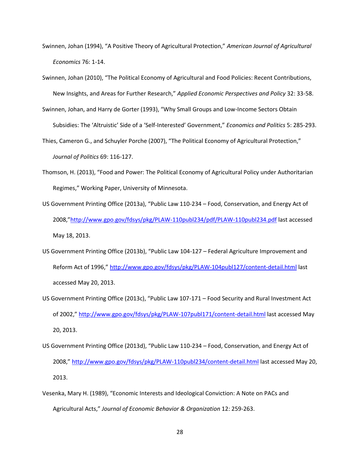- Swinnen, Johan (1994), "A Positive Theory of Agricultural Protection," *American Journal of Agricultural Economics* 76: 1-14.
- Swinnen, Johan (2010), "The Political Economy of Agricultural and Food Policies: Recent Contributions, New Insights, and Areas for Further Research," *Applied Economic Perspectives and Policy* 32: 33-58.
- Swinnen, Johan, and Harry de Gorter (1993), "Why Small Groups and Low-Income Sectors Obtain Subsidies: The 'Altruistic' Side of a 'Self-Interested' Government," *Economics and Politics* 5: 285-293.
- Thies, Cameron G., and Schuyler Porche (2007), "The Political Economy of Agricultural Protection," *Journal of Politics* 69: 116-127.
- Thomson, H. (2013), "Food and Power: The Political Economy of Agricultural Policy under Authoritarian Regimes," Working Paper, University of Minnesota.
- US Government Printing Office (2013a), "Public Law 110-234 Food, Conservation, and Energy Act of 2008,"<http://www.gpo.gov/fdsys/pkg/PLAW-110publ234/pdf/PLAW-110publ234.pdf>last accessed May 18, 2013.
- US Government Printing Office (2013b), "Public Law 104-127 Federal Agriculture Improvement and Reform Act of 1996," <http://www.gpo.gov/fdsys/pkg/PLAW-104publ127/content-detail.html>last accessed May 20, 2013.
- US Government Printing Office (2013c), "Public Law 107-171 Food Security and Rural Investment Act of 2002," <http://www.gpo.gov/fdsys/pkg/PLAW-107publ171/content-detail.html>last accessed May 20, 2013.
- US Government Printing Office (2013d), "Public Law 110-234 Food, Conservation, and Energy Act of 2008," <http://www.gpo.gov/fdsys/pkg/PLAW-110publ234/content-detail.html>last accessed May 20, 2013.
- Vesenka, Mary H. (1989), "Economic Interests and Ideological Conviction: A Note on PACs and Agricultural Acts," *Journal of Economic Behavior & Organization* 12: 259-263.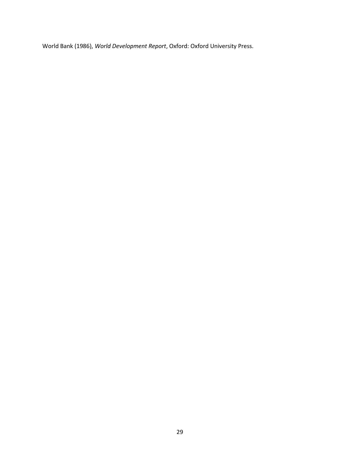World Bank (1986), *World Development Report*, Oxford: Oxford University Press.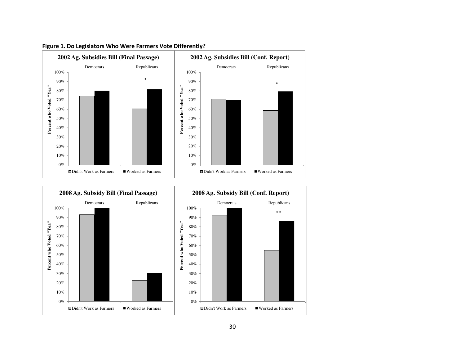

**Figure 1. Do Legislators Who Were Farmers Vote Differently?**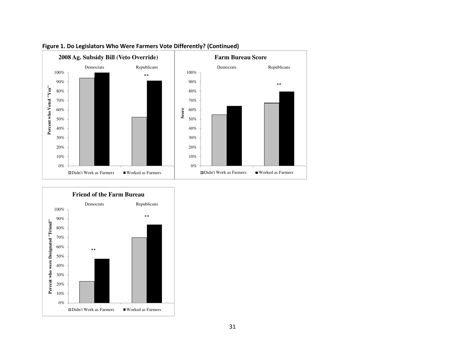



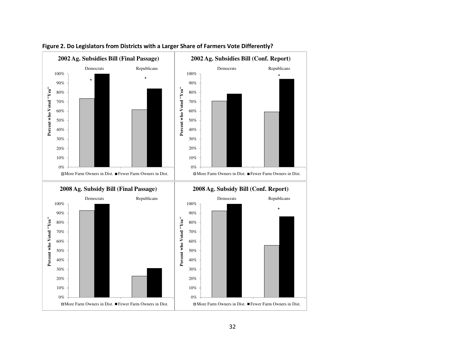

#### **Figure 2. Do Legislators from Districts with a Larger Share of Farmers Vote Differently?**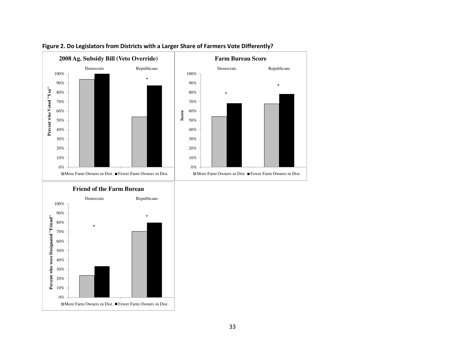

#### **Figure 2. Do Legislators from Districts with a Larger Share of Farmers Vote Differently?**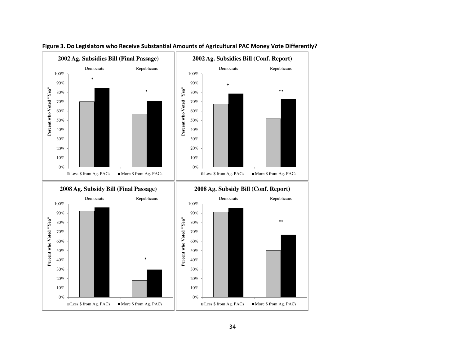

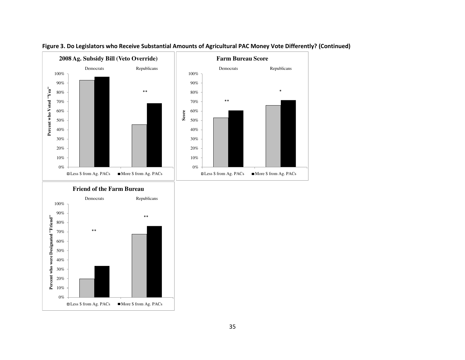

**Figure 3. Do Legislators who Receive Substantial Amounts of Agricultural PAC Money Vote Differently? (Continued)**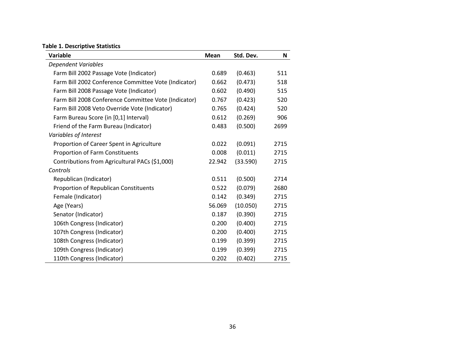#### **Table 1. Descriptive Statistics**

| <b>Variable</b>                                      | <b>Mean</b> | Std. Dev. | N    |
|------------------------------------------------------|-------------|-----------|------|
| Dependent Variables                                  |             |           |      |
| Farm Bill 2002 Passage Vote (Indicator)              | 0.689       | (0.463)   | 511  |
| Farm Bill 2002 Conference Committee Vote (Indicator) | 0.662       | (0.473)   | 518  |
| Farm Bill 2008 Passage Vote (Indicator)              | 0.602       | (0.490)   | 515  |
| Farm Bill 2008 Conference Committee Vote (Indicator) | 0.767       | (0.423)   | 520  |
| Farm Bill 2008 Veto Override Vote (Indicator)        | 0.765       | (0.424)   | 520  |
| Farm Bureau Score (in [0,1] Interval)                | 0.612       | (0.269)   | 906  |
| Friend of the Farm Bureau (Indicator)                | 0.483       | (0.500)   | 2699 |
| Variables of Interest                                |             |           |      |
| Proportion of Career Spent in Agriculture            | 0.022       | (0.091)   | 2715 |
| <b>Proportion of Farm Constituents</b>               | 0.008       | (0.011)   | 2715 |
| Contributions from Agricultural PACs (\$1,000)       | 22.942      | (33.590)  | 2715 |
| Controls                                             |             |           |      |
| Republican (Indicator)                               | 0.511       | (0.500)   | 2714 |
| Proportion of Republican Constituents                | 0.522       | (0.079)   | 2680 |
| Female (Indicator)                                   | 0.142       | (0.349)   | 2715 |
| Age (Years)                                          | 56.069      | (10.050)  | 2715 |
| Senator (Indicator)                                  | 0.187       | (0.390)   | 2715 |
| 106th Congress (Indicator)                           | 0.200       | (0.400)   | 2715 |
| 107th Congress (Indicator)                           | 0.200       | (0.400)   | 2715 |
| 108th Congress (Indicator)                           | 0.199       | (0.399)   | 2715 |
| 109th Congress (Indicator)                           | 0.199       | (0.399)   | 2715 |
| 110th Congress (Indicator)                           | 0.202       | (0.402)   | 2715 |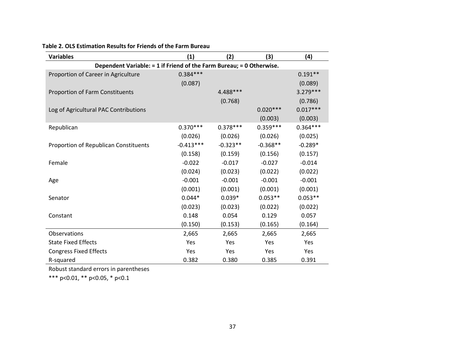| <b>Variables</b>                                                     | (1)         | (2)        | (3)        | (4)        |  |  |  |  |
|----------------------------------------------------------------------|-------------|------------|------------|------------|--|--|--|--|
| Dependent Variable: = 1 if Friend of the Farm Bureau; = 0 Otherwise. |             |            |            |            |  |  |  |  |
| Proportion of Career in Agriculture                                  | $0.384***$  |            |            | $0.191**$  |  |  |  |  |
|                                                                      | (0.087)     |            |            | (0.089)    |  |  |  |  |
| Proportion of Farm Constituents                                      |             | 4.488***   |            | $3.279***$ |  |  |  |  |
|                                                                      |             | (0.768)    |            | (0.786)    |  |  |  |  |
| Log of Agricultural PAC Contributions                                |             |            | $0.020***$ | $0.017***$ |  |  |  |  |
|                                                                      |             |            | (0.003)    | (0.003)    |  |  |  |  |
| Republican                                                           | $0.370***$  | $0.378***$ | $0.359***$ | $0.364***$ |  |  |  |  |
|                                                                      | (0.026)     | (0.026)    | (0.026)    | (0.025)    |  |  |  |  |
| Proportion of Republican Constituents                                | $-0.413***$ | $-0.323**$ | $-0.368**$ | $-0.289*$  |  |  |  |  |
|                                                                      | (0.158)     | (0.159)    | (0.156)    | (0.157)    |  |  |  |  |
| Female                                                               | $-0.022$    | $-0.017$   | $-0.027$   | $-0.014$   |  |  |  |  |
|                                                                      | (0.024)     | (0.023)    | (0.022)    | (0.022)    |  |  |  |  |
| Age                                                                  | $-0.001$    | $-0.001$   | $-0.001$   | $-0.001$   |  |  |  |  |
|                                                                      | (0.001)     | (0.001)    | (0.001)    | (0.001)    |  |  |  |  |
| Senator                                                              | $0.044*$    | $0.039*$   | $0.053**$  | $0.053**$  |  |  |  |  |
|                                                                      | (0.023)     | (0.023)    | (0.022)    | (0.022)    |  |  |  |  |
| Constant                                                             | 0.148       | 0.054      | 0.129      | 0.057      |  |  |  |  |
|                                                                      | (0.150)     | (0.153)    | (0.165)    | (0.164)    |  |  |  |  |
| Observations                                                         | 2,665       | 2,665      | 2,665      | 2,665      |  |  |  |  |
| <b>State Fixed Effects</b>                                           | Yes         | Yes        | Yes        | Yes        |  |  |  |  |
| <b>Congress Fixed Effects</b>                                        | Yes         | Yes        | Yes        | Yes        |  |  |  |  |
| R-squared                                                            | 0.382       | 0.380      | 0.385      | 0.391      |  |  |  |  |

# **Table 2. OLS Estimation Results for Friends of the Farm Bureau**

Robust standard errors in parentheses

\*\*\* p<0.01, \*\* p<0.05, \* p<0.1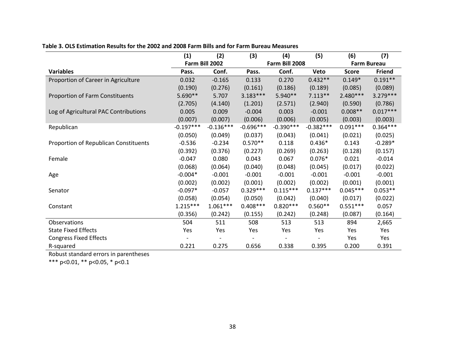|                                       | (1)            | (2)         | (3)         | (4)            | (5)                | (6)          | (7)           |
|---------------------------------------|----------------|-------------|-------------|----------------|--------------------|--------------|---------------|
|                                       | Farm Bill 2002 |             |             | Farm Bill 2008 | <b>Farm Bureau</b> |              |               |
| <b>Variables</b>                      | Pass.          | Conf.       | Pass.       | Conf.          | <b>Veto</b>        | <b>Score</b> | <b>Friend</b> |
| Proportion of Career in Agriculture   | 0.032          | $-0.165$    | 0.133       | 0.270          | $0.432**$          | $0.149*$     | $0.191**$     |
|                                       | (0.190)        | (0.276)     | (0.161)     | (0.186)        | (0.189)            | (0.085)      | (0.089)       |
| Proportion of Farm Constituents       | $5.690**$      | 5.707       | $3.183***$  | 5.940**        | $7.113**$          | $2.480***$   | $3.279***$    |
|                                       | (2.705)        | (4.140)     | (1.201)     | (2.571)        | (2.940)            | (0.590)      | (0.786)       |
| Log of Agricultural PAC Contributions | 0.005          | 0.009       | $-0.004$    | 0.003          | $-0.001$           | $0.008**$    | $0.017***$    |
|                                       | (0.007)        | (0.007)     | (0.006)     | (0.006)        | (0.005)            | (0.003)      | (0.003)       |
| Republican                            | $-0.197***$    | $-0.136***$ | $-0.696***$ | $-0.390***$    | $-0.382***$        | $0.091***$   | $0.364***$    |
|                                       | (0.050)        | (0.049)     | (0.037)     | (0.043)        | (0.041)            | (0.021)      | (0.025)       |
| Proportion of Republican Constituents | $-0.536$       | $-0.234$    | $0.570**$   | 0.118          | $0.436*$           | 0.143        | $-0.289*$     |
|                                       | (0.392)        | (0.376)     | (0.227)     | (0.269)        | (0.263)            | (0.128)      | (0.157)       |
| Female                                | $-0.047$       | 0.080       | 0.043       | 0.067          | $0.076*$           | 0.021        | $-0.014$      |
|                                       | (0.068)        | (0.064)     | (0.040)     | (0.048)        | (0.045)            | (0.017)      | (0.022)       |
| Age                                   | $-0.004*$      | $-0.001$    | $-0.001$    | $-0.001$       | $-0.001$           | $-0.001$     | $-0.001$      |
|                                       | (0.002)        | (0.002)     | (0.001)     | (0.002)        | (0.002)            | (0.001)      | (0.001)       |
| Senator                               | $-0.097*$      | $-0.057$    | $0.329***$  | $0.115***$     | $0.137***$         | $0.045***$   | $0.053**$     |
|                                       | (0.058)        | (0.054)     | (0.050)     | (0.042)        | (0.040)            | (0.017)      | (0.022)       |
| Constant                              | $1.215***$     | $1.061***$  | $0.408***$  | $0.820***$     | $0.560**$          | $0.551***$   | 0.057         |
|                                       | (0.356)        | (0.242)     | (0.155)     | (0.242)        | (0.248)            | (0.087)      | (0.164)       |
| Observations                          | 504            | 511         | 508         | 513            | 513                | 894          | 2,665         |
| <b>State Fixed Effects</b>            | Yes            | Yes         | Yes         | Yes            | Yes                | Yes          | Yes           |
| <b>Congress Fixed Effects</b>         |                |             |             |                |                    | Yes          | Yes           |
| R-squared                             | 0.221          | 0.275       | 0.656       | 0.338          | 0.395              | 0.200        | 0.391         |

## **Table 3. OLS Estimation Results for the 2002 and 2008 Farm Bills and for Farm Bureau Measures**

Robust standard errors in parentheses

\*\*\* p<0.01, \*\* p<0.05, \* p<0.1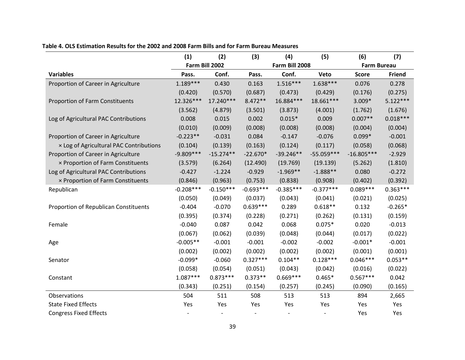|                                         | (1)         | (2)            | (3)            | (4)         | (5)          | (6)                | (7)           |  |
|-----------------------------------------|-------------|----------------|----------------|-------------|--------------|--------------------|---------------|--|
|                                         |             | Farm Bill 2002 | Farm Bill 2008 |             |              | <b>Farm Bureau</b> |               |  |
| <b>Variables</b>                        | Pass.       | Conf.          | Pass.          | Conf.       | Veto         | <b>Score</b>       | <b>Friend</b> |  |
| Proportion of Career in Agriculture     | $1.189***$  | 0.430          | 0.163          | $1.516***$  | $1.638***$   | 0.076              | 0.278         |  |
|                                         | (0.420)     | (0.570)        | (0.687)        | (0.473)     | (0.429)      | (0.176)            | (0.275)       |  |
| Proportion of Farm Constituents         | 12.326***   | 17.240***      | 8.472**        | 16.884 ***  | 18.661***    | $3.009*$           | $5.122***$    |  |
|                                         | (3.562)     | (4.879)        | (3.501)        | (3.873)     | (4.001)      | (1.762)            | (1.676)       |  |
| Log of Agricultural PAC Contributions   | 0.008       | 0.015          | 0.002          | $0.015*$    | 0.009        | $0.007**$          | $0.018***$    |  |
|                                         | (0.010)     | (0.009)        | (0.008)        | (0.008)     | (0.008)      | (0.004)            | (0.004)       |  |
| Proportion of Career in Agriculture     | $-0.223**$  | $-0.031$       | 0.084          | $-0.147$    | $-0.076$     | $0.099*$           | $-0.001$      |  |
| × Log of Agricultural PAC Contributions | (0.104)     | (0.139)        | (0.163)        | (0.124)     | (0.117)      | (0.058)            | (0.068)       |  |
| Proportion of Career in Agriculture     | $-9.809***$ | $-15.274**$    | $-22.670*$     | $-39.246**$ | $-55.059***$ | $-16.805***$       | $-2.929$      |  |
| × Proportion of Farm Constituents       | (3.579)     | (6.264)        | (12.490)       | (19.769)    | (19.139)     | (5.262)            | (1.810)       |  |
| Log of Agricultural PAC Contributions   | $-0.427$    | $-1.224$       | $-0.929$       | $-1.969**$  | $-1.888**$   | 0.080              | $-0.272$      |  |
| × Proportion of Farm Constituents       | (0.846)     | (0.963)        | (0.753)        | (0.838)     | (0.908)      | (0.402)            | (0.392)       |  |
| Republican                              | $-0.208***$ | $-0.150***$    | $-0.693***$    | $-0.385***$ | $-0.377***$  | $0.089***$         | $0.363***$    |  |
|                                         | (0.050)     | (0.049)        | (0.037)        | (0.043)     | (0.041)      | (0.021)            | (0.025)       |  |
| Proportion of Republican Constituents   | $-0.404$    | $-0.070$       | $0.639***$     | 0.289       | $0.618**$    | 0.132              | $-0.265*$     |  |
|                                         | (0.395)     | (0.374)        | (0.228)        | (0.271)     | (0.262)      | (0.131)            | (0.159)       |  |
| Female                                  | $-0.040$    | 0.087          | 0.042          | 0.068       | $0.075*$     | 0.020              | $-0.013$      |  |
|                                         | (0.067)     | (0.062)        | (0.039)        | (0.048)     | (0.044)      | (0.017)            | (0.022)       |  |
| Age                                     | $-0.005**$  | $-0.001$       | $-0.001$       | $-0.002$    | $-0.002$     | $-0.001*$          | $-0.001$      |  |
|                                         | (0.002)     | (0.002)        | (0.002)        | (0.002)     | (0.002)      | (0.001)            | (0.001)       |  |
| Senator                                 | $-0.099*$   | $-0.060$       | $0.327***$     | $0.104**$   | $0.128***$   | $0.046***$         | $0.053**$     |  |
|                                         | (0.058)     | (0.054)        | (0.051)        | (0.043)     | (0.042)      | (0.016)            | (0.022)       |  |
| Constant                                | $1.087***$  | $0.873***$     | $0.373**$      | $0.669***$  | $0.465*$     | $0.567***$         | 0.042         |  |
|                                         | (0.343)     | (0.251)        | (0.154)        | (0.257)     | (0.245)      | (0.090)            | (0.165)       |  |
| Observations                            | 504         | 511            | 508            | 513         | 513          | 894                | 2,665         |  |
| <b>State Fixed Effects</b>              | Yes         | Yes            | Yes            | Yes         | Yes          | Yes                | Yes           |  |
| <b>Congress Fixed Effects</b>           |             |                |                |             |              | Yes                | Yes           |  |

### **Table 4. OLS Estimation Results for the 2002 and 2008 Farm Bills and for Farm Bureau Measures**